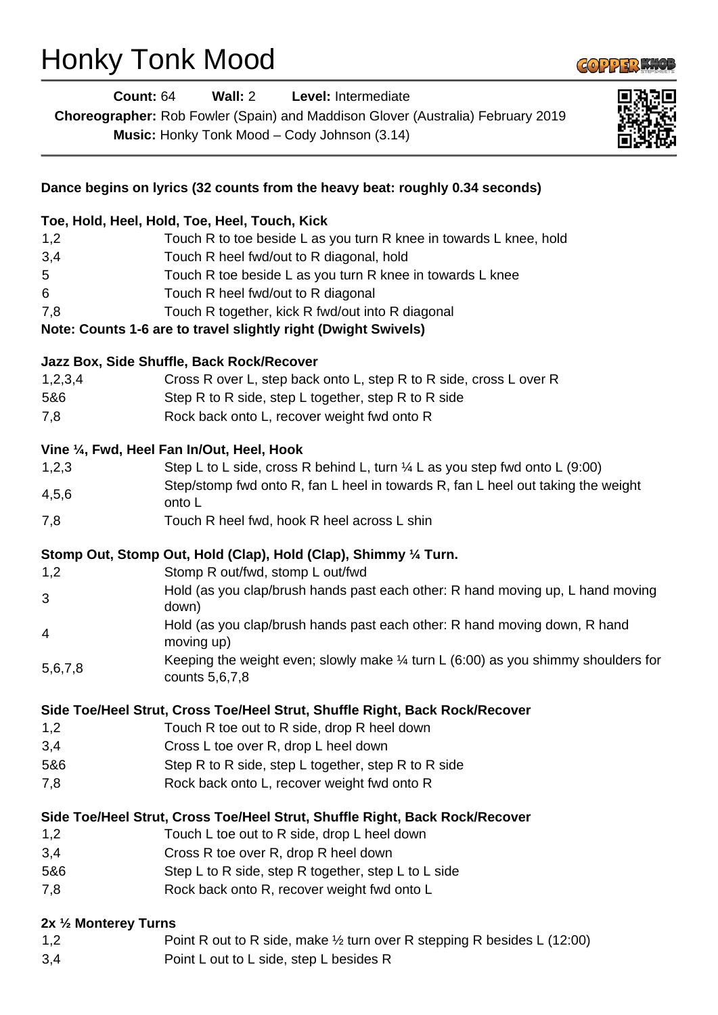# Honky Tonk Mood



|                       | <b>Count: 64</b> |                | Wall: $2$                                                                    | Level: Intermediate |  |                                                                                        |                                                                                              |
|-----------------------|------------------|----------------|------------------------------------------------------------------------------|---------------------|--|----------------------------------------------------------------------------------------|----------------------------------------------------------------------------------------------|
|                       |                  |                |                                                                              |                     |  | Choreographer: Rob Fowler (Spain) and Maddison Glover (Australia) February 2019        |                                                                                              |
|                       |                  |                | Music: Honky Tonk Mood - Cody Johnson (3.14)                                 |                     |  |                                                                                        |                                                                                              |
|                       |                  |                |                                                                              |                     |  |                                                                                        |                                                                                              |
|                       |                  |                | Dance begins on lyrics (32 counts from the heavy beat: roughly 0.34 seconds) |                     |  |                                                                                        |                                                                                              |
|                       |                  |                | Toe, Hold, Heel, Hold, Toe, Heel, Touch, Kick                                |                     |  |                                                                                        |                                                                                              |
| 1,2                   |                  |                |                                                                              |                     |  | Touch R to toe beside L as you turn R knee in towards L knee, hold                     |                                                                                              |
| 3,4                   |                  |                | Touch R heel fwd/out to R diagonal, hold                                     |                     |  |                                                                                        |                                                                                              |
| 5                     |                  |                | Touch R toe beside L as you turn R knee in towards L knee                    |                     |  |                                                                                        |                                                                                              |
| 6                     |                  |                | Touch R heel fwd/out to R diagonal                                           |                     |  |                                                                                        |                                                                                              |
| 7,8                   |                  |                | Touch R together, kick R fwd/out into R diagonal                             |                     |  |                                                                                        |                                                                                              |
|                       |                  |                | Note: Counts 1-6 are to travel slightly right (Dwight Swivels)               |                     |  |                                                                                        |                                                                                              |
|                       |                  |                | Jazz Box, Side Shuffle, Back Rock/Recover                                    |                     |  |                                                                                        |                                                                                              |
| 1,2,3,4               |                  |                | Cross R over L, step back onto L, step R to R side, cross L over R           |                     |  |                                                                                        |                                                                                              |
| 5&6                   |                  |                | Step R to R side, step L together, step R to R side                          |                     |  |                                                                                        |                                                                                              |
| 7,8                   |                  |                | Rock back onto L, recover weight fwd onto R                                  |                     |  |                                                                                        |                                                                                              |
|                       |                  |                | Vine 1/4, Fwd, Heel Fan In/Out, Heel, Hook                                   |                     |  |                                                                                        |                                                                                              |
| 1,2,3                 |                  |                |                                                                              |                     |  | Step L to L side, cross R behind L, turn $\frac{1}{4}$ L as you step fwd onto L (9:00) |                                                                                              |
| 4,5,6                 |                  |                |                                                                              |                     |  | Step/stomp fwd onto R, fan L heel in towards R, fan L heel out taking the weight       |                                                                                              |
| 7,8                   |                  | onto L         | Touch R heel fwd, hook R heel across L shin                                  |                     |  |                                                                                        |                                                                                              |
|                       |                  |                |                                                                              |                     |  |                                                                                        |                                                                                              |
|                       |                  |                | Stomp Out, Stomp Out, Hold (Clap), Hold (Clap), Shimmy 1/4 Turn.             |                     |  |                                                                                        |                                                                                              |
| 1,2                   |                  |                | Stomp R out/fwd, stomp L out/fwd                                             |                     |  |                                                                                        |                                                                                              |
| 3                     |                  | down)          |                                                                              |                     |  |                                                                                        | Hold (as you clap/brush hands past each other: R hand moving up, L hand moving               |
| $\overline{4}$        |                  | moving up)     |                                                                              |                     |  | Hold (as you clap/brush hands past each other: R hand moving down, R hand              |                                                                                              |
| 5,6,7,8               |                  | counts 5,6,7,8 |                                                                              |                     |  |                                                                                        | Keeping the weight even; slowly make $\frac{1}{4}$ turn L (6:00) as you shimmy shoulders for |
|                       |                  |                | Side Toe/Heel Strut, Cross Toe/Heel Strut, Shuffle Right, Back Rock/Recover  |                     |  |                                                                                        |                                                                                              |
| 1,2                   |                  |                | Touch R toe out to R side, drop R heel down                                  |                     |  |                                                                                        |                                                                                              |
| 3,4                   |                  |                | Cross L toe over R, drop L heel down                                         |                     |  |                                                                                        |                                                                                              |
| 5&6                   |                  |                | Step R to R side, step L together, step R to R side                          |                     |  |                                                                                        |                                                                                              |
| 7,8                   |                  |                | Rock back onto L, recover weight fwd onto R                                  |                     |  |                                                                                        |                                                                                              |
|                       |                  |                | Side Toe/Heel Strut, Cross Toe/Heel Strut, Shuffle Right, Back Rock/Recover  |                     |  |                                                                                        |                                                                                              |
| 1,2                   |                  |                | Touch L toe out to R side, drop L heel down                                  |                     |  |                                                                                        |                                                                                              |
| 3,4                   |                  |                | Cross R toe over R, drop R heel down                                         |                     |  |                                                                                        |                                                                                              |
| 5&6                   |                  |                | Step L to R side, step R together, step L to L side                          |                     |  |                                                                                        |                                                                                              |
| 7,8                   |                  |                | Rock back onto R, recover weight fwd onto L                                  |                     |  |                                                                                        |                                                                                              |
| 2x 1/2 Monterey Turns |                  |                |                                                                              |                     |  |                                                                                        |                                                                                              |
| 1,2                   |                  |                |                                                                              |                     |  | Point R out to R side, make 1/2 turn over R stepping R besides L (12:00)               |                                                                                              |
| $\sim$ $\lambda$      |                  |                | المتجمعا المسملم والمتأجر الملاطنيون الما                                    |                     |  |                                                                                        |                                                                                              |

3,4 Point L out to L side, step L besides R